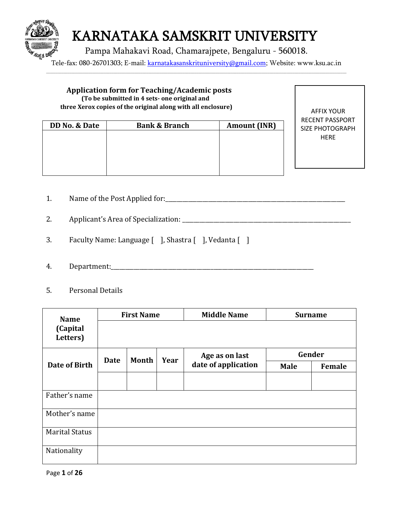

Tele-fax: 080-26701303; E-mail: [karnatakasanskrituniversity@gmail.com;](mailto:karnatakasanskrituniversity@gmail.com) Website: www.ksu.ac.in \_\_\_\_\_\_\_\_\_\_\_\_\_\_\_\_\_\_\_\_\_\_\_\_\_\_\_\_\_\_\_\_\_\_\_\_\_\_\_\_\_\_\_\_\_\_\_\_\_\_\_\_\_\_\_\_\_\_\_\_\_\_\_\_\_\_\_\_\_\_\_\_\_\_\_\_\_\_\_\_\_\_\_\_\_\_\_\_\_\_\_\_\_\_\_\_\_\_\_\_\_\_\_\_\_\_\_\_\_\_\_\_\_\_\_\_\_\_\_\_\_\_\_\_\_\_\_\_\_\_\_\_\_\_\_\_\_\_\_\_\_\_\_\_\_\_\_\_\_\_\_\_\_\_\_\_



- 1. Name of the Post Applied for:\_\_\_\_\_\_\_\_\_\_\_\_\_\_\_\_\_\_\_\_\_\_\_\_\_\_\_\_\_\_\_\_\_\_\_\_\_\_\_\_\_\_\_\_\_\_\_\_\_\_\_\_\_\_\_\_\_\_\_\_\_\_\_
- 2. Applicant's Area of Specialization: \_\_\_\_\_\_\_\_\_\_\_\_\_\_\_\_\_\_\_\_\_\_\_\_\_\_\_\_\_\_\_\_\_\_\_\_\_\_\_\_\_\_\_\_\_\_\_\_\_\_\_\_\_\_\_\_\_\_\_
- 3. Faculty Name: Language [ ], Shastra [ ], Vedanta [ ]
- 4. Department:\_\_\_\_\_\_\_\_\_\_\_\_\_\_\_\_\_\_\_\_\_\_\_\_\_\_\_\_\_\_\_\_\_\_\_\_\_\_\_\_\_\_\_\_\_\_\_\_\_\_\_\_\_\_\_\_\_\_\_\_\_\_\_\_\_\_\_\_\_\_\_
- 5. Personal Details

| <b>Name</b>           | <b>First Name</b> |       | <b>Middle Name</b> | <b>Surname</b>      |             |        |
|-----------------------|-------------------|-------|--------------------|---------------------|-------------|--------|
| (Capital<br>Letters)  |                   |       |                    |                     |             |        |
|                       | <b>Date</b>       | Month | Year               | Age as on last      |             | Gender |
| <b>Date of Birth</b>  |                   |       |                    | date of application | <b>Male</b> | Female |
|                       |                   |       |                    |                     |             |        |
| Father's name         |                   |       |                    |                     |             |        |
| Mother's name         |                   |       |                    |                     |             |        |
| <b>Marital Status</b> |                   |       |                    |                     |             |        |
| Nationality           |                   |       |                    |                     |             |        |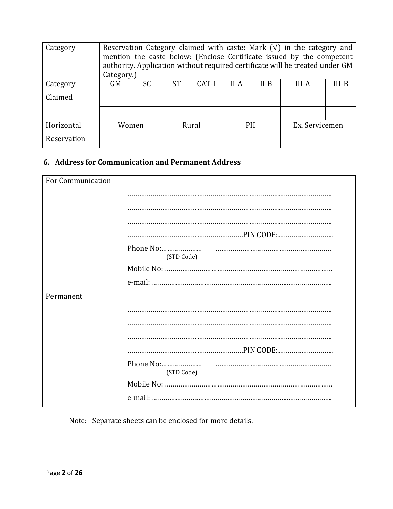| Category    | Reservation Category claimed with caste: Mark $(\sqrt{})$ in the category and<br>mention the caste below: (Enclose Certificate issued by the competent<br>authority. Application without required certificate will be treated under GM<br>Category.) |     |           |       |           |        |                |         |
|-------------|------------------------------------------------------------------------------------------------------------------------------------------------------------------------------------------------------------------------------------------------------|-----|-----------|-------|-----------|--------|----------------|---------|
| Category    | <b>GM</b>                                                                                                                                                                                                                                            | SC. | <b>ST</b> | CAT-I | $II-A$    | $II-B$ | $III-A$        | $III-B$ |
| Claimed     |                                                                                                                                                                                                                                                      |     |           |       |           |        |                |         |
|             |                                                                                                                                                                                                                                                      |     |           |       |           |        |                |         |
| Horizontal  | Women                                                                                                                                                                                                                                                |     |           | Rural | <b>PH</b> |        | Ex. Servicemen |         |
| Reservation |                                                                                                                                                                                                                                                      |     |           |       |           |        |                |         |

### **6. Address for Communication and Permanent Address**

| For Communication |                         |
|-------------------|-------------------------|
|                   |                         |
|                   |                         |
|                   |                         |
|                   |                         |
|                   | Phone No:               |
|                   | (STD Code)              |
|                   |                         |
|                   |                         |
| Permanent         |                         |
|                   |                         |
|                   |                         |
|                   |                         |
|                   |                         |
|                   | Phone No:<br>(STD Code) |
|                   |                         |
|                   |                         |

Note: Separate sheets can be enclosed for more details.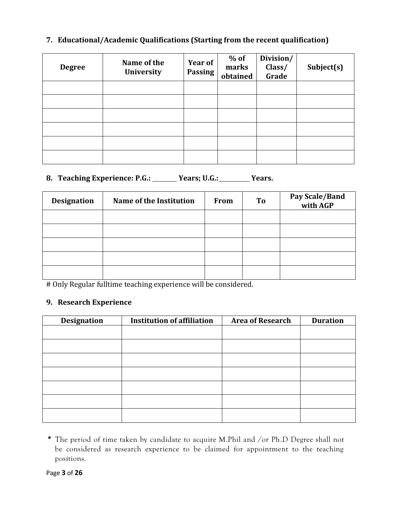#### **7. Educational/Academic Qualifications (Starting from the recent qualification)**

| <b>Degree</b> | Name of the<br>University | Year of<br>Passing | $%$ of<br>marks<br>obtained | Division/<br>Class/<br>Grade | Subject(s) |
|---------------|---------------------------|--------------------|-----------------------------|------------------------------|------------|
|               |                           |                    |                             |                              |            |
|               |                           |                    |                             |                              |            |
|               |                           |                    |                             |                              |            |
|               |                           |                    |                             |                              |            |
|               |                           |                    |                             |                              |            |
|               |                           |                    |                             |                              |            |

### 8. Teaching Experience: P.G.: <u>Years; U.G.: Years.</u> Years.

| <b>Designation</b> | Name of the Institution | <b>From</b> | T <sub>o</sub> | Pay Scale/Band<br>with AGP |
|--------------------|-------------------------|-------------|----------------|----------------------------|
|                    |                         |             |                |                            |
|                    |                         |             |                |                            |
|                    |                         |             |                |                            |
|                    |                         |             |                |                            |
|                    |                         |             |                |                            |

# Only Regular fulltime teaching experience will be considered.

### **9. Research Experience**

| <b>Designation</b> | <b>Institution of affiliation</b> | <b>Area of Research</b> | <b>Duration</b> |
|--------------------|-----------------------------------|-------------------------|-----------------|
|                    |                                   |                         |                 |
|                    |                                   |                         |                 |
|                    |                                   |                         |                 |
|                    |                                   |                         |                 |
|                    |                                   |                         |                 |
|                    |                                   |                         |                 |
|                    |                                   |                         |                 |

<sup>\*</sup> The period of time taken by candidate to acquire M.Phil and /or Ph.D Degree shall not be considered as research experience to be claimed for appointment to the teaching positions.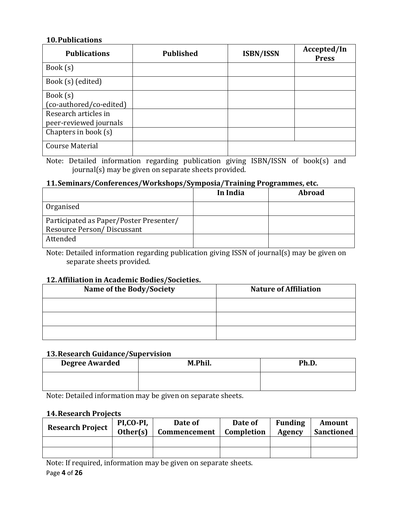#### **10.Publications**

| <b>Publications</b>     | <b>Published</b> | <b>ISBN/ISSN</b> | Accepted/In<br><b>Press</b> |
|-------------------------|------------------|------------------|-----------------------------|
| Book(s)                 |                  |                  |                             |
| Book (s) (edited)       |                  |                  |                             |
| Book(s)                 |                  |                  |                             |
| (co-authored/co-edited) |                  |                  |                             |
| Research articles in    |                  |                  |                             |
| peer-reviewed journals  |                  |                  |                             |
| Chapters in book (s)    |                  |                  |                             |
| <b>Course Material</b>  |                  |                  |                             |

Note: Detailed information regarding publication giving ISBN/ISSN of book(s) and journal(s) may be given on separate sheets provided.

### **11.Seminars/Conferences/Workshops/Symposia/Training Programmes, etc.**

|                                         | In India | <b>Abroad</b> |
|-----------------------------------------|----------|---------------|
| Organised                               |          |               |
| Participated as Paper/Poster Presenter/ |          |               |
| Resource Person/Discussant              |          |               |
| Attended                                |          |               |

Note: Detailed information regarding publication giving ISSN of journal(s) may be given on separate sheets provided.

#### **12.Affiliation in Academic Bodies/Societies.**

| Name of the Body/Society | <b>Nature of Affiliation</b> |
|--------------------------|------------------------------|
|                          |                              |
|                          |                              |
|                          |                              |

#### **13.Research Guidance/Supervision**

| <b>Degree Awarded</b> | M.Phil. | Ph.D. |
|-----------------------|---------|-------|
|                       |         |       |

Note: Detailed information may be given on separate sheets.

#### **14.Research Projects**

| <b>Research Project</b> | PI.CO-PI.<br>Other(s) | Date of<br>Commencement | Date of<br>Completion | <b>Funding</b><br><b>Agency</b> | Amount<br><b>Sanctioned</b> |
|-------------------------|-----------------------|-------------------------|-----------------------|---------------------------------|-----------------------------|
|                         |                       |                         |                       |                                 |                             |
|                         |                       |                         |                       |                                 |                             |

Note: If required, information may be given on separate sheets.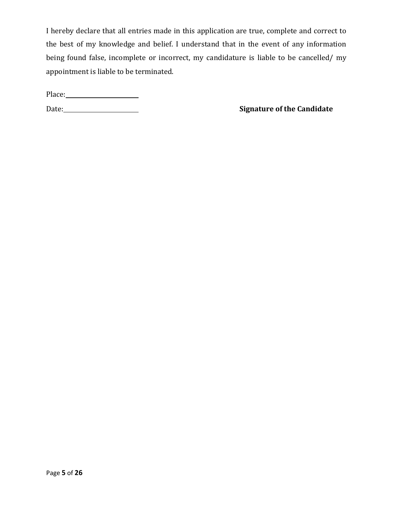I hereby declare that all entries made in this application are true, complete and correct to the best of my knowledge and belief. I understand that in the event of any information being found false, incomplete or incorrect, my candidature is liable to be cancelled/ my appointment is liable to be terminated.

Place:

Date: <u>**Candidate**</u> **Signature of the Candidate**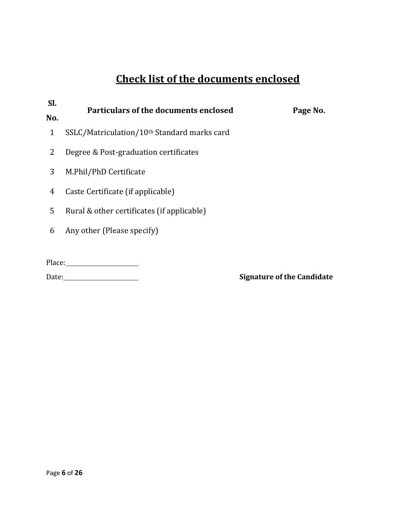# **Check list of the documents enclosed**

| SI.          | <b>Particulars of the documents enclosed</b>            |          |
|--------------|---------------------------------------------------------|----------|
| No.          |                                                         | Page No. |
| $\mathbf{1}$ | SSLC/Matriculation/10 <sup>th</sup> Standard marks card |          |
| 2            | Degree & Post-graduation certificates                   |          |
| 3            | M.Phil/PhD Certificate                                  |          |
| 4            | Caste Certificate (if applicable)                       |          |
| 5            | Rural & other certificates (if applicable)              |          |
| 6            | Any other (Please specify)                              |          |
|              |                                                         |          |
| Place:       |                                                         |          |

### Date: <u>**Canadidate**</u> **Signature of the Candidate**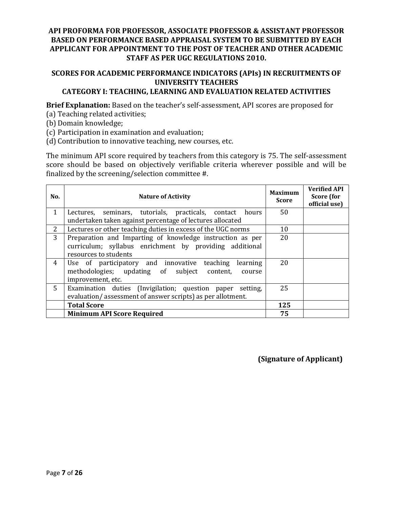#### **API PROFORMA FOR PROFESSOR, ASSOCIATE PROFESSOR & ASSISTANT PROFESSOR BASED ON PERFORMANCE BASED APPRAISAL SYSTEM TO BE SUBMITTED BY EACH APPLICANT FOR APPOINTMENT TO THE POST OF TEACHER AND OTHER ACADEMIC STAFF AS PER UGC REGULATIONS 2010.**

#### **SCORES FOR ACADEMIC PERFORMANCE INDICATORS (APIs) IN RECRUITMENTS OF UNIVERSITY TEACHERS CATEGORY I: TEACHING, LEARNING AND EVALUATION RELATED ACTIVITIES**

**Brief Explanation:** Based on the teacher's self-assessment, API scores are proposed for

- (a) Teaching related activities;
- (b) Domain knowledge;
- (c) Participation in examination and evaluation;

(d) Contribution to innovative teaching, new courses, etc.

The minimum API score required by teachers from this category is 75. The self-assessment score should be based on objectively verifiable criteria wherever possible and will be finalized by the screening/selection committee #.

| No.          | <b>Nature of Activity</b>                                                                                                                     | <b>Maximum</b><br><b>Score</b> | <b>Verified API</b><br>Score (for<br>official use) |
|--------------|-----------------------------------------------------------------------------------------------------------------------------------------------|--------------------------------|----------------------------------------------------|
| $\mathbf{1}$ | Lectures, seminars, tutorials, practicals, contact hours<br>undertaken taken against percentage of lectures allocated                         | 50                             |                                                    |
| 2            | Lectures or other teaching duties in excess of the UGC norms                                                                                  | 10                             |                                                    |
| 3            | Preparation and Imparting of knowledge instruction as per<br>curriculum; syllabus enrichment by providing additional<br>resources to students | 20                             |                                                    |
| 4            | Use of participatory and innovative teaching<br>learning<br>methodologies; updating of subject content,<br>course<br>improvement, etc.        | 20                             |                                                    |
| 5            | Examination duties (Invigilation; question paper setting,<br>evaluation/assessment of answer scripts) as per allotment.                       | 25                             |                                                    |
|              | <b>Total Score</b>                                                                                                                            | 125                            |                                                    |
|              | <b>Minimum API Score Required</b>                                                                                                             | 75                             |                                                    |

**(Signature of Applicant)**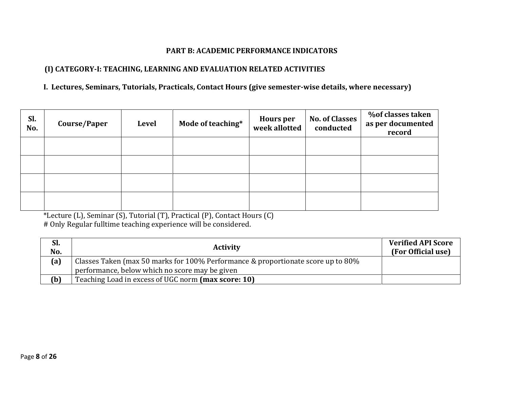#### **PART B: ACADEMIC PERFORMANCE INDICATORS**

#### **(I) CATEGORY-I: TEACHING, LEARNING AND EVALUATION RELATED ACTIVITIES**

#### **I. Lectures, Seminars, Tutorials, Practicals, Contact Hours (give semester-wise details, where necessary)**

| SI.<br>No. | Course/Paper | <b>Level</b> | Mode of teaching* | <b>Hours per</b><br>week allotted | <b>No. of Classes</b><br>conducted | % of classes taken<br>as per documented<br>record |
|------------|--------------|--------------|-------------------|-----------------------------------|------------------------------------|---------------------------------------------------|
|            |              |              |                   |                                   |                                    |                                                   |
|            |              |              |                   |                                   |                                    |                                                   |
|            |              |              |                   |                                   |                                    |                                                   |
|            |              |              |                   |                                   |                                    |                                                   |

\*Lecture (L), Seminar (S), Tutorial (T), Practical (P), Contact Hours (C) # Only Regular fulltime teaching experience will be considered.

| Sl.<br>No. | <b>Activity</b>                                                                  | <b>Verified API Score</b><br>(For Official use) |
|------------|----------------------------------------------------------------------------------|-------------------------------------------------|
| (a)        | Classes Taken (max 50 marks for 100% Performance & proportionate score up to 80% |                                                 |
|            | performance, below which no score may be given                                   |                                                 |
| (b)        | Teaching Load in excess of UGC norm (max score: 10)                              |                                                 |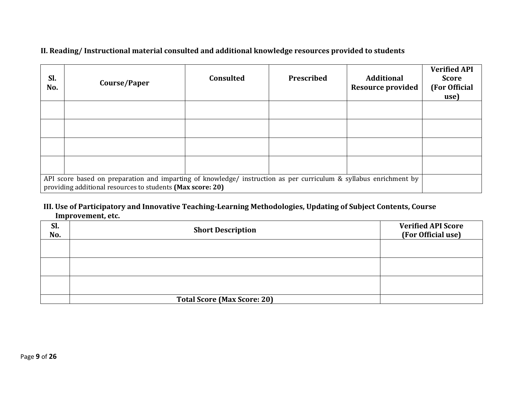### **II. Reading/ Instructional material consulted and additional knowledge resources provided to students**

| Sl.<br>No.                                                                                                                                                                      | Course/Paper | <b>Consulted</b> | Prescribed | <b>Additional</b><br><b>Resource provided</b> | <b>Verified API</b><br><b>Score</b><br>(For Official<br>use) |
|---------------------------------------------------------------------------------------------------------------------------------------------------------------------------------|--------------|------------------|------------|-----------------------------------------------|--------------------------------------------------------------|
|                                                                                                                                                                                 |              |                  |            |                                               |                                                              |
|                                                                                                                                                                                 |              |                  |            |                                               |                                                              |
|                                                                                                                                                                                 |              |                  |            |                                               |                                                              |
|                                                                                                                                                                                 |              |                  |            |                                               |                                                              |
| API score based on preparation and imparting of knowledge/ instruction as per curriculum & syllabus enrichment by<br>providing additional resources to students (Max score: 20) |              |                  |            |                                               |                                                              |

#### **III. Use of Participatory and Innovative Teaching-Learning Methodologies, Updating of Subject Contents, Course Improvement, etc.**

| Sl.<br>No. | <b>Short Description</b>           | <b>Verified API Score</b><br>(For Official use) |
|------------|------------------------------------|-------------------------------------------------|
|            |                                    |                                                 |
|            |                                    |                                                 |
|            |                                    |                                                 |
|            | <b>Total Score (Max Score: 20)</b> |                                                 |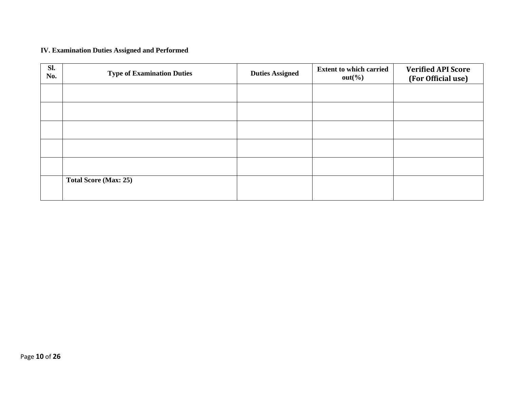### **IV. Examination Duties Assigned and Performed**

| Sl.<br>No. | <b>Type of Examination Duties</b> | <b>Duties Assigned</b> | <b>Extent to which carried</b><br>$out(\% )$ | <b>Verified API Score</b><br>(For Official use) |
|------------|-----------------------------------|------------------------|----------------------------------------------|-------------------------------------------------|
|            |                                   |                        |                                              |                                                 |
|            |                                   |                        |                                              |                                                 |
|            |                                   |                        |                                              |                                                 |
|            |                                   |                        |                                              |                                                 |
|            |                                   |                        |                                              |                                                 |
|            | <b>Total Score (Max: 25)</b>      |                        |                                              |                                                 |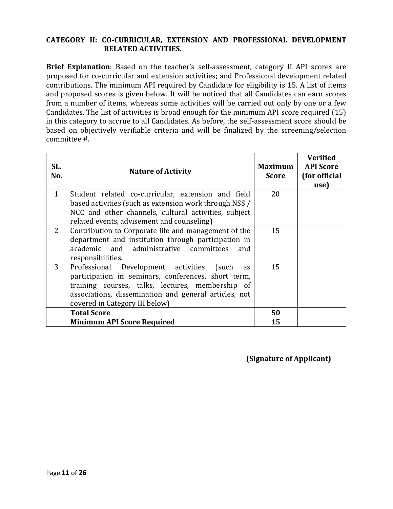#### **CATEGORY II: CO-CURRICULAR, EXTENSION AND PROFESSIONAL DEVELOPMENT RELATED ACTIVITIES.**

**Brief Explanation**: Based on the teacher's self-assessment, category II API scores are proposed for co-curricular and extension activities; and Professional development related contributions. The minimum API required by Candidate for eligibility is 15. A list of items and proposed scores is given below. It will be noticed that all Candidates can earn scores from a number of items, whereas some activities will be carried out only by one or a few Candidates. The list of activities is broad enough for the minimum API score required (15) in this category to accrue to all Candidates. As before, the self-assessment score should be based on objectively verifiable criteria and will be finalized by the screening/selection committee #.

| SL.<br>No.     | <b>Nature of Activity</b>                                                                          | Maximum<br><b>Score</b> | <b>Verified</b><br><b>API Score</b><br>(for official<br>use) |
|----------------|----------------------------------------------------------------------------------------------------|-------------------------|--------------------------------------------------------------|
| $\mathbf{1}$   | Student related co-curricular, extension and field                                                 | 20                      |                                                              |
|                | based activities (such as extension work through NSS /                                             |                         |                                                              |
|                | NCC and other channels, cultural activities, subject<br>related events, advisement and counseling) |                         |                                                              |
| $\overline{2}$ | Contribution to Corporate life and management of the                                               | 15                      |                                                              |
|                | department and institution through participation in                                                |                         |                                                              |
|                | academic and administrative committees<br>and                                                      |                         |                                                              |
|                | responsibilities.                                                                                  |                         |                                                              |
| 3              | Professional Development activities<br>(such)<br><b>as</b>                                         | 15                      |                                                              |
|                | participation in seminars, conferences, short term,                                                |                         |                                                              |
|                | training courses, talks, lectures, membership of                                                   |                         |                                                              |
|                | associations, dissemination and general articles, not                                              |                         |                                                              |
|                | covered in Category III below)                                                                     |                         |                                                              |
|                | <b>Total Score</b>                                                                                 | 50                      |                                                              |
|                | <b>Minimum API Score Required</b>                                                                  | 15                      |                                                              |

**(Signature of Applicant)**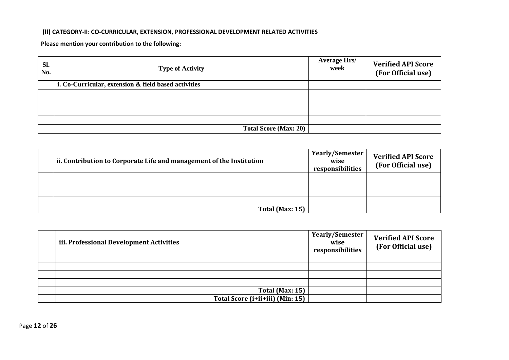#### **(II) CATEGORY-II: CO-CURRICULAR, EXTENSION, PROFESSIONAL DEVELOPMENT RELATED ACTIVITIES**

**Please mention your contribution to the following:**

| Sl.<br>No. | <b>Type of Activity</b>                              | <b>Average Hrs/</b><br>week | <b>Verified API Score</b><br>(For Official use) |
|------------|------------------------------------------------------|-----------------------------|-------------------------------------------------|
|            | i. Co-Curricular, extension & field based activities |                             |                                                 |
|            |                                                      |                             |                                                 |
|            |                                                      |                             |                                                 |
|            |                                                      |                             |                                                 |
|            |                                                      |                             |                                                 |
|            | <b>Total Score (Max: 20)</b>                         |                             |                                                 |

| ii. Contribution to Corporate Life and management of the Institution | Yearly/Semester  <br>wise<br>responsibilities | <b>Verified API Score</b><br>(For Official use) |
|----------------------------------------------------------------------|-----------------------------------------------|-------------------------------------------------|
|                                                                      |                                               |                                                 |
|                                                                      |                                               |                                                 |
|                                                                      |                                               |                                                 |
|                                                                      |                                               |                                                 |
| <b>Total (Max: 15)</b>                                               |                                               |                                                 |

| iii. Professional Development Activities | <b>Yearly/Semester</b><br>wise<br>responsibilities | <b>Verified API Score</b><br>(For Official use) |
|------------------------------------------|----------------------------------------------------|-------------------------------------------------|
|                                          |                                                    |                                                 |
|                                          |                                                    |                                                 |
|                                          |                                                    |                                                 |
|                                          |                                                    |                                                 |
| <b>Total (Max: 15)</b>                   |                                                    |                                                 |
| Total Score (i+ii+iii) (Min: 15)         |                                                    |                                                 |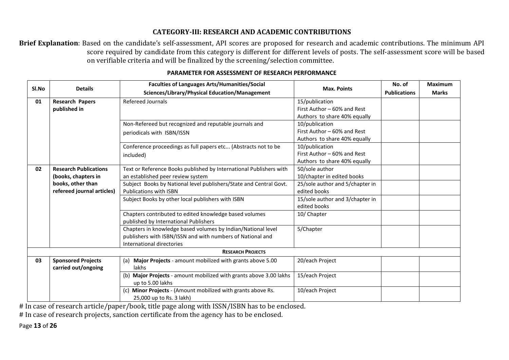### **CATEGORY-III: RESEARCH AND ACADEMIC CONTRIBUTIONS**

**Brief Explanation**: Based on the candidate's self-assessment, API scores are proposed for research and academic contributions. The minimum API score required by candidate from this category is different for different levels of posts. The self-assessment score will be based on verifiable criteria and will be finalized by the screening/selection committee.

| Sl.No | <b>Details</b>               | <b>Faculties of Languages Arts/Humanities/Social</b>                  | <b>Max. Points</b>                            | No. of              | <b>Maximum</b> |
|-------|------------------------------|-----------------------------------------------------------------------|-----------------------------------------------|---------------------|----------------|
|       |                              | Sciences/Library/Physical Education/Management                        |                                               | <b>Publications</b> | <b>Marks</b>   |
| 01    | <b>Research Papers</b>       | <b>Refereed Journals</b>                                              | 15/publication                                |                     |                |
|       | published in                 |                                                                       | First Author - 60% and Rest                   |                     |                |
|       |                              |                                                                       | Authors to share 40% equally                  |                     |                |
|       |                              | Non-Refereed but recognized and reputable journals and                | 10/publication<br>First Author - 60% and Rest |                     |                |
|       |                              | periodicals with ISBN/ISSN                                            |                                               |                     |                |
|       |                              |                                                                       | Authors to share 40% equally                  |                     |                |
|       |                              | Conference proceedings as full papers etc (Abstracts not to be        | 10/publication<br>First Author - 60% and Rest |                     |                |
|       |                              | included)                                                             | Authors to share 40% equally                  |                     |                |
| 02    | <b>Research Publications</b> | Text or Reference Books published by International Publishers with    | 50/sole author                                |                     |                |
|       | (books, chapters in          | an established peer review system                                     | 10/chapter in edited books                    |                     |                |
|       | books, other than            | Subject Books by National level publishers/State and Central Govt.    | 25/sole author and 5/chapter in               |                     |                |
|       | refereed journal articles)   | <b>Publications with ISBN</b>                                         | edited books                                  |                     |                |
|       |                              | Subject Books by other local publishers with ISBN                     | 15/sole author and 3/chapter in               |                     |                |
|       |                              |                                                                       | edited books                                  |                     |                |
|       |                              | Chapters contributed to edited knowledge based volumes                | 10/ Chapter                                   |                     |                |
|       |                              | published by International Publishers                                 |                                               |                     |                |
|       |                              | Chapters in knowledge based volumes by Indian/National level          | 5/Chapter                                     |                     |                |
|       |                              | publishers with ISBN/ISSN and with numbers of National and            |                                               |                     |                |
|       |                              | International directories                                             |                                               |                     |                |
|       |                              | <b>RESEARCH PROJECTS</b>                                              |                                               |                     |                |
| 03    | <b>Sponsored Projects</b>    | Major Projects - amount mobilized with grants above 5.00<br>(a)       | 20/each Project                               |                     |                |
|       | carried out/ongoing          | lakhs                                                                 |                                               |                     |                |
|       |                              | Major Projects - amount mobilized with grants above 3.00 lakhs<br>(b) | 15/each Project                               |                     |                |
|       |                              | up to 5.00 lakhs                                                      |                                               |                     |                |
|       |                              | Minor Projects - (Amount mobilized with grants above Rs.<br>(c)       | 10/each Project                               |                     |                |
|       |                              | 25,000 up to Rs. 3 lakh)                                              |                                               |                     |                |

#### **PARAMETER FOR ASSESSMENT OF RESEARCH PERFORMANCE**

# In case of research article/paper/book, title page along with ISSN/ISBN has to be enclosed.

# In case of research projects, sanction certificate from the agency has to be enclosed.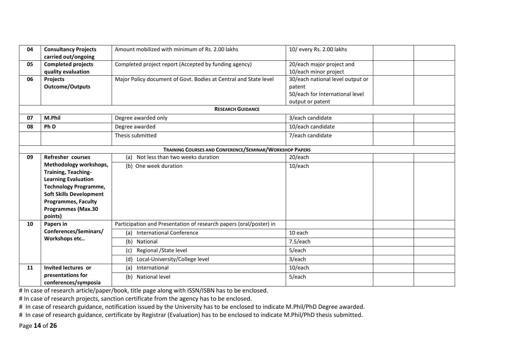| 04 | <b>Consultancy Projects</b>          | Amount mobilized with minimum of Rs. 2.00 lakhs                    | 10/ every Rs. 2.00 lakhs         |  |
|----|--------------------------------------|--------------------------------------------------------------------|----------------------------------|--|
|    | carried out/ongoing                  |                                                                    |                                  |  |
| 05 | <b>Completed projects</b>            | Completed project report (Accepted by funding agency)              | 20/each major project and        |  |
|    | quality evaluation                   |                                                                    | 10/each minor project            |  |
| 06 | Projects                             | Major Policy document of Govt. Bodies at Central and State level   | 30/each national level output or |  |
|    | <b>Outcome/Outputs</b>               |                                                                    | patent                           |  |
|    |                                      |                                                                    | 50/each for International level  |  |
|    |                                      |                                                                    | output or patent                 |  |
|    |                                      | <b>RESEARCH GUIDANCE</b>                                           |                                  |  |
| 07 | M.Phil                               | Degree awarded only                                                | 3/each candidate                 |  |
| 08 | Ph D                                 | Degree awarded                                                     | 10/each candidate                |  |
|    |                                      | Thesis submitted                                                   | 7/each candidate                 |  |
|    |                                      | TRAINING COURSES AND CONFERENCE/SEMINAR/WORKSHOP PAPERS            |                                  |  |
| 09 | Refresher courses                    | Not less than two weeks duration<br>(a)                            | 20/each                          |  |
|    | Methodology workshops,               | (b) One week duration                                              | 10/each                          |  |
|    | <b>Training, Teaching-</b>           |                                                                    |                                  |  |
|    | <b>Learning Evaluation</b>           |                                                                    |                                  |  |
|    | <b>Technology Programme,</b>         |                                                                    |                                  |  |
|    | <b>Soft Skills Development</b>       |                                                                    |                                  |  |
|    | <b>Programmes, Faculty</b>           |                                                                    |                                  |  |
|    | <b>Programmes (Max.30</b><br>points) |                                                                    |                                  |  |
| 10 | Papers in                            | Participation and Presentation of research papers (oral/poster) in |                                  |  |
|    | Conferences/Seminars/                | (a) International Conference                                       | 10 each                          |  |
|    | Workshops etc                        | (b) National                                                       | 7.5/each                         |  |
|    |                                      | Regional / State level<br>(c)                                      | 5/each                           |  |
|    |                                      | Local-University/College level<br>(d)                              | 3/each                           |  |
| 11 | Invited lectures or                  | International<br>(a)                                               | 10/each                          |  |
|    | presentations for                    | (b) National level                                                 | 5/each                           |  |
|    | conferences/symposia                 |                                                                    |                                  |  |

# In case of research article/paper/book, title page along with ISSN/ISBN has to be enclosed.

# In case of research projects, sanction certificate from the agency has to be enclosed.

# In case of research guidance, notification issued by the University has to be enclosed to indicate M.Phil/PhD Degree awarded.

# In case of research guidance, certificate by Registrar (Evaluation) has to be enclosed to indicate M.Phil/PhD thesis submitted.

Page **14** of **26**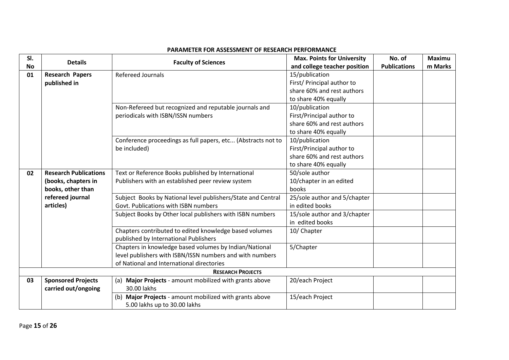#### **Sl. No Details Properties and COVID-10 COVID-10 COVID-10 COVID-10 COVID-10 COVID-10 COVID-10 COVID-10 COVID-10 COVID-10 COVID-10 COVID-10 COVID-10 COVID-10 COVID-10 COVID-10 COVID-10 COVID-10 COVID-10 COVID-10 COVID-10 CO and college teacher position No. of Publications Maximu m Marks 01 Research Papers published in** Refereed Journals 2008 15/publication First/ Principal author to share 60% and rest authors to share 40% equally Non-Refereed but recognized and reputable journals and periodicals with ISBN/ISSN numbers 10/publication First/Principal author to share 60% and rest authors to share 40% equally Conference proceedings as full papers, etc... (Abstracts not to be included) 10/publication First/Principal author to share 60% and rest authors to share 40% equally **02 Research Publications (books, chapters in books, other than refereed journal articles)** Text or Reference Books published by International Publishers with an established peer review system 50/sole author 10/chapter in an edited books Subject Books by National level publishers/State and Central Govt. Publications with ISBN numbers 25/sole author and 5/chapter in edited books Subject Books by Other local publishers with ISBN numbers | 15/sole author and 3/chapter in edited books Chapters contributed to edited knowledge based volumes published by International Publishers 10/ Chapter Chapters in knowledge based volumes by Indian/National level publishers with ISBN/ISSN numbers and with numbers of National and International directories 5/Chapter **RESEARCH PROJECTS 03 Sponsored Projects carried out/ongoing** (a) **Major Projects** - amount mobilized with grants above 30.00 lakhs 20/each Project (b) **Major Projects** - amount mobilized with grants above 5.00 lakhs up to 30.00 lakhs 15/each Project

#### **PARAMETER FOR ASSESSMENT OF RESEARCH PERFORMANCE**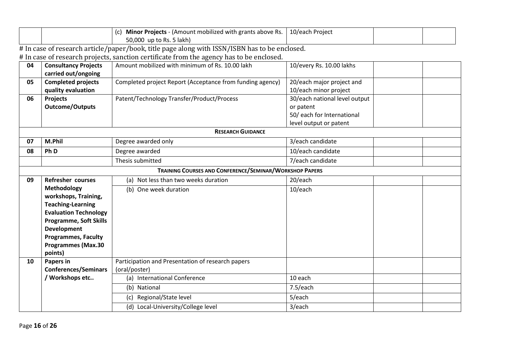|    |                                                | (c) <b>Minor Projects</b> - (Amount mobilized with grants above Rs. $\vert$ 10/each Project                                                                                               |                               |  |  |
|----|------------------------------------------------|-------------------------------------------------------------------------------------------------------------------------------------------------------------------------------------------|-------------------------------|--|--|
|    |                                                | 50,000 up to Rs. 5 lakh)                                                                                                                                                                  |                               |  |  |
|    |                                                | # In case of research article/paper/book, title page along with ISSN/ISBN has to be enclosed.<br># In case of research projects, sanction certificate from the agency has to be enclosed. |                               |  |  |
| 04 | <b>Consultancy Projects</b>                    | Amount mobilized with minimum of Rs. 10.00 lakh                                                                                                                                           | 10/every Rs. 10.00 lakhs      |  |  |
|    | carried out/ongoing                            |                                                                                                                                                                                           |                               |  |  |
| 05 | <b>Completed projects</b>                      | Completed project Report (Acceptance from funding agency)                                                                                                                                 | 20/each major project and     |  |  |
|    | quality evaluation                             |                                                                                                                                                                                           | 10/each minor project         |  |  |
| 06 | <b>Projects</b>                                | Patent/Technology Transfer/Product/Process                                                                                                                                                | 30/each national level output |  |  |
|    | <b>Outcome/Outputs</b>                         |                                                                                                                                                                                           | or patent                     |  |  |
|    |                                                |                                                                                                                                                                                           | 50/ each for International    |  |  |
|    |                                                |                                                                                                                                                                                           | level output or patent        |  |  |
|    |                                                | <b>RESEARCH GUIDANCE</b>                                                                                                                                                                  |                               |  |  |
| 07 | M.Phil                                         | Degree awarded only                                                                                                                                                                       | 3/each candidate              |  |  |
| 08 | Ph D                                           | Degree awarded                                                                                                                                                                            | 10/each candidate             |  |  |
|    |                                                | Thesis submitted                                                                                                                                                                          | 7/each candidate              |  |  |
|    |                                                | TRAINING COURSES AND CONFERENCE/SEMINAR/WORKSHOP PAPERS                                                                                                                                   |                               |  |  |
| 09 | <b>Refresher courses</b>                       | (a) Not less than two weeks duration                                                                                                                                                      | 20/each                       |  |  |
|    | Methodology                                    | (b) One week duration                                                                                                                                                                     | 10/each                       |  |  |
|    | workshops, Training,                           |                                                                                                                                                                                           |                               |  |  |
|    | <b>Teaching-Learning</b>                       |                                                                                                                                                                                           |                               |  |  |
|    | <b>Evaluation Technology</b>                   |                                                                                                                                                                                           |                               |  |  |
|    | <b>Programme, Soft Skills</b>                  |                                                                                                                                                                                           |                               |  |  |
|    | <b>Development</b>                             |                                                                                                                                                                                           |                               |  |  |
|    | <b>Programmes, Faculty</b>                     |                                                                                                                                                                                           |                               |  |  |
|    | <b>Programmes (Max.30</b>                      |                                                                                                                                                                                           |                               |  |  |
|    | points)                                        |                                                                                                                                                                                           |                               |  |  |
| 10 | <b>Papers in</b>                               | Participation and Presentation of research papers                                                                                                                                         |                               |  |  |
|    | <b>Conferences/Seminars</b><br>/ Workshops etc | (oral/poster)<br>(a) International Conference                                                                                                                                             | 10 each                       |  |  |
|    |                                                |                                                                                                                                                                                           |                               |  |  |
|    |                                                | (b) National                                                                                                                                                                              | 7.5/each                      |  |  |
|    |                                                | Regional/State level<br>(c)                                                                                                                                                               | 5/each                        |  |  |
|    |                                                | Local-University/College level<br>(d)                                                                                                                                                     | 3/each                        |  |  |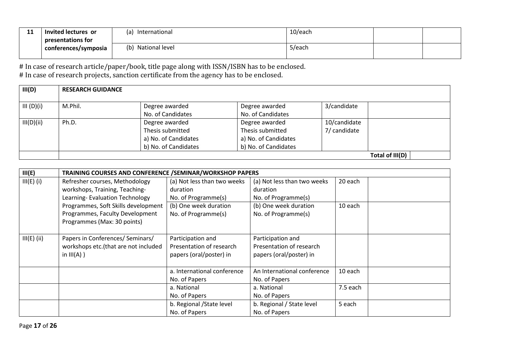| $\overline{A}$<br>ᆠ | Invited lectures or  | International<br>l a  | 10/each |  |
|---------------------|----------------------|-----------------------|---------|--|
|                     | presentations for    |                       |         |  |
|                     | conterences/symposia | National level<br>(b) | 5/each  |  |
|                     |                      |                       |         |  |

# In case of research article/paper/book, title page along with ISSN/ISBN has to be enclosed. # In case of research projects, sanction certificate from the agency has to be enclosed.

| III(D)     | <b>RESEARCH GUIDANCE</b> |                                                                                    |                                                                                    |                              |                 |
|------------|--------------------------|------------------------------------------------------------------------------------|------------------------------------------------------------------------------------|------------------------------|-----------------|
| III (D)(i) | M.Phil.                  | Degree awarded<br>No. of Candidates                                                | Degree awarded<br>No. of Candidates                                                | 3/candidate                  |                 |
| III(D)(ii) | Ph.D.                    | Degree awarded<br>Thesis submitted<br>a) No. of Candidates<br>b) No. of Candidates | Degree awarded<br>Thesis submitted<br>a) No. of Candidates<br>b) No. of Candidates | 10/candidate<br>7/ candidate |                 |
|            |                          |                                                                                    |                                                                                    |                              | Total of III(D) |

| III(E)        | TRAINING COURSES AND CONFERENCE / SEMINAR/WORKSHOP PAPERS |                             |                             |          |
|---------------|-----------------------------------------------------------|-----------------------------|-----------------------------|----------|
| $III(E)$ (i)  | Refresher courses, Methodology                            | (a) Not less than two weeks | (a) Not less than two weeks | 20 each  |
|               | workshops, Training, Teaching-                            | duration                    | duration                    |          |
|               | Learning-Evaluation Technology                            | No. of Programme(s)         | No. of Programme(s)         |          |
|               | Programmes, Soft Skills development                       | (b) One week duration       | (b) One week duration       | 10 each  |
|               | Programmes, Faculty Development                           | No. of Programme(s)         | No. of Programme(s)         |          |
|               | Programmes (Max: 30 points)                               |                             |                             |          |
|               |                                                           |                             |                             |          |
| $III(E)$ (ii) | Papers in Conferences/ Seminars/                          | Participation and           | Participation and           |          |
|               | workshops etc.(that are not included                      | Presentation of research    | Presentation of research    |          |
|               | in $III(A)$ )                                             | papers (oral/poster) in     | papers (oral/poster) in     |          |
|               |                                                           |                             |                             |          |
|               |                                                           | a. International conference | An International conference | 10 each  |
|               |                                                           | No. of Papers               | No. of Papers               |          |
|               |                                                           | a. National                 | a. National                 | 7.5 each |
|               |                                                           | No. of Papers               | No. of Papers               |          |
|               |                                                           | b. Regional / State level   | b. Regional / State level   | 5 each   |
|               |                                                           | No. of Papers               | No. of Papers               |          |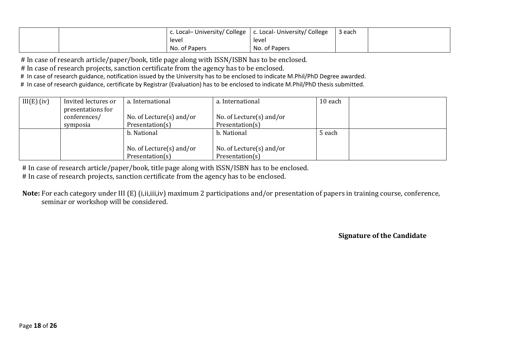|  | c. Local- University/ College   c. Local- University/ College |               | 3 each |  |
|--|---------------------------------------------------------------|---------------|--------|--|
|  | level                                                         | level         |        |  |
|  | No. of Papers                                                 | No. of Papers |        |  |

# In case of research article/paper/book, title page along with ISSN/ISBN has to be enclosed.

# In case of research projects, sanction certificate from the agency has to be enclosed.

# In case of research guidance, notification issued by the University has to be enclosed to indicate M.Phil/PhD Degree awarded.

# In case of research guidance, certificate by Registrar (Evaluation) has to be enclosed to indicate M.Phil/PhD thesis submitted.

| $III(E)$ (iv) | Invited lectures or<br>presentations for | a. International            | a. International            | 10 each |  |
|---------------|------------------------------------------|-----------------------------|-----------------------------|---------|--|
|               | conferences/                             | No. of Lecture $(s)$ and/or | No. of Lecture $(s)$ and/or |         |  |
|               | symposia                                 | Presentation(s)             | Presentation(s)             |         |  |
|               |                                          | b. National                 | b. National                 | 5 each  |  |
|               |                                          |                             |                             |         |  |
|               |                                          | No. of Lecture $(s)$ and/or | No. of Lecture $(s)$ and/or |         |  |
|               |                                          | Presentation(s)             | Presentation(s)             |         |  |

# In case of research article/paper/book, title page along with ISSN/ISBN has to be enclosed.

# In case of research projects, sanction certificate from the agency has to be enclosed.

 **Note:** For each category under III (E) (i,ii,iii,iv) maximum 2 participations and/or presentation of papers in training course, conference, seminar or workshop will be considered.

**Signature of the Candidate**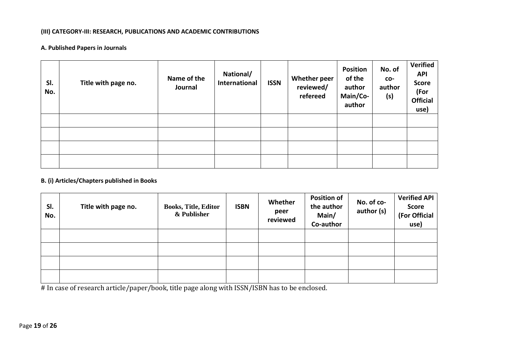#### **(III) CATEGORY-III: RESEARCH, PUBLICATIONS AND ACADEMIC CONTRIBUTIONS**

#### **A. Published Papers in Journals**

| SI.<br>No. | Title with page no. | Name of the<br>Journal | National/<br>International | <b>ISSN</b> | <b>Whether peer</b><br>reviewed/<br>refereed | <b>Position</b><br>of the<br>author<br>Main/Co-<br>author | No. of<br>CO-<br>author<br>(s) | <b>Verified</b><br><b>API</b><br><b>Score</b><br>(For<br><b>Official</b><br>use) |
|------------|---------------------|------------------------|----------------------------|-------------|----------------------------------------------|-----------------------------------------------------------|--------------------------------|----------------------------------------------------------------------------------|
|            |                     |                        |                            |             |                                              |                                                           |                                |                                                                                  |
|            |                     |                        |                            |             |                                              |                                                           |                                |                                                                                  |
|            |                     |                        |                            |             |                                              |                                                           |                                |                                                                                  |
|            |                     |                        |                            |             |                                              |                                                           |                                |                                                                                  |

#### **B. (i) Articles/Chapters published in Books**

| SI.<br>No. | Title with page no. | <b>Books, Title, Editor</b><br>& Publisher | <b>ISBN</b> | Whether<br>peer<br>reviewed | <b>Position of</b><br>the author<br>Main/<br>Co-author | No. of co-<br>author (s) | Verified API<br><b>Score</b><br>(For Official<br>use) |
|------------|---------------------|--------------------------------------------|-------------|-----------------------------|--------------------------------------------------------|--------------------------|-------------------------------------------------------|
|            |                     |                                            |             |                             |                                                        |                          |                                                       |
|            |                     |                                            |             |                             |                                                        |                          |                                                       |
|            |                     |                                            |             |                             |                                                        |                          |                                                       |
|            |                     |                                            |             |                             |                                                        |                          |                                                       |

# In case of research article/paper/book, title page along with ISSN/ISBN has to be enclosed.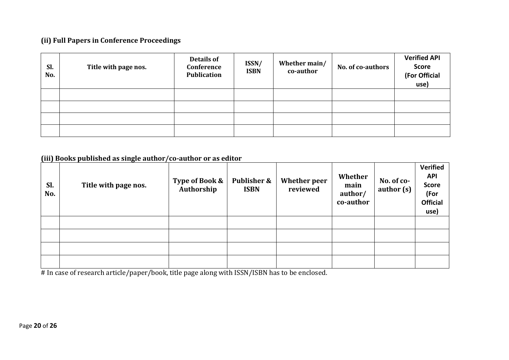### **(ii) Full Papers in Conference Proceedings**

| Sl.<br>No. | Title with page nos. | Details of<br>Conference<br><b>Publication</b> | ISSN/<br><b>ISBN</b> | Whether main/<br>co-author | <b>No. of co-authors</b> | <b>Verified API</b><br><b>Score</b><br>(For Official<br>use) |
|------------|----------------------|------------------------------------------------|----------------------|----------------------------|--------------------------|--------------------------------------------------------------|
|            |                      |                                                |                      |                            |                          |                                                              |
|            |                      |                                                |                      |                            |                          |                                                              |
|            |                      |                                                |                      |                            |                          |                                                              |
|            |                      |                                                |                      |                            |                          |                                                              |

**(iii) Books published as single author/co-author or as editor**

| Sl.<br>No. | Title with page nos. | Type of Book &<br>Authorship | <b>Publisher &amp;</b><br><b>ISBN</b> | <b>Whether peer</b><br>reviewed | Whether<br>main<br>author/<br>co-author | No. of co-<br>author (s) | Verified<br><b>API</b><br><b>Score</b><br>(For<br><b>Official</b><br>use) |
|------------|----------------------|------------------------------|---------------------------------------|---------------------------------|-----------------------------------------|--------------------------|---------------------------------------------------------------------------|
|            |                      |                              |                                       |                                 |                                         |                          |                                                                           |
|            |                      |                              |                                       |                                 |                                         |                          |                                                                           |
|            |                      |                              |                                       |                                 |                                         |                          |                                                                           |
|            |                      |                              |                                       |                                 |                                         |                          |                                                                           |

# In case of research article/paper/book, title page along with ISSN/ISBN has to be enclosed.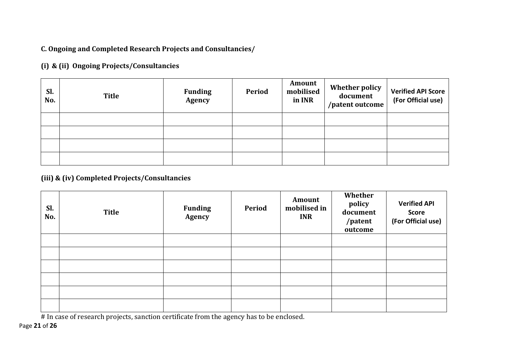**C. Ongoing and Completed Research Projects and Consultancies/**

**(i) & (ii) Ongoing Projects/Consultancies** 

| Sl.<br>No. | <b>Title</b> | <b>Funding</b><br><b>Agency</b> | <b>Period</b> | Amount<br>mobilised<br>in INR | <b>Whether policy</b><br>document<br>/patent outcome | <b>Verified API Score</b><br>(For Official use) |
|------------|--------------|---------------------------------|---------------|-------------------------------|------------------------------------------------------|-------------------------------------------------|
|            |              |                                 |               |                               |                                                      |                                                 |
|            |              |                                 |               |                               |                                                      |                                                 |
|            |              |                                 |               |                               |                                                      |                                                 |
|            |              |                                 |               |                               |                                                      |                                                 |

## **(iii) & (iv) Completed Projects/Consultancies**

| Sl.<br>No. | <b>Title</b> | <b>Funding</b><br>Agency | Period | Amount<br>mobilised in<br><b>INR</b> | Whether<br>policy<br>document<br>/patent<br>outcome | <b>Verified API</b><br><b>Score</b><br>(For Official use) |
|------------|--------------|--------------------------|--------|--------------------------------------|-----------------------------------------------------|-----------------------------------------------------------|
|            |              |                          |        |                                      |                                                     |                                                           |
|            |              |                          |        |                                      |                                                     |                                                           |
|            |              |                          |        |                                      |                                                     |                                                           |
|            |              |                          |        |                                      |                                                     |                                                           |
|            |              |                          |        |                                      |                                                     |                                                           |
|            |              |                          |        |                                      |                                                     |                                                           |

# In case of research projects, sanction certificate from the agency has to be enclosed.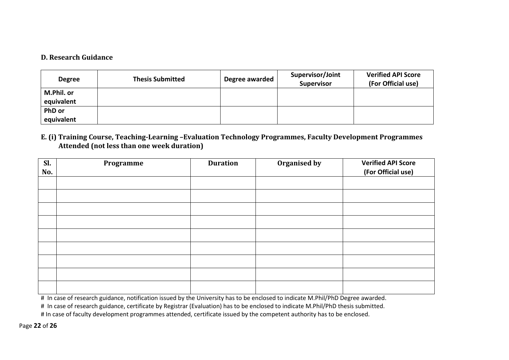#### **D. Research Guidance**

| <b>Degree</b>               | <b>Thesis Submitted</b> | Degree awarded | Supervisor/Joint<br><b>Supervisor</b> | <b>Verified API Score</b><br>(For Official use) |
|-----------------------------|-------------------------|----------------|---------------------------------------|-------------------------------------------------|
| M.Phil. or<br>equivalent    |                         |                |                                       |                                                 |
| <b>PhD</b> or<br>equivalent |                         |                |                                       |                                                 |

#### **E. (i) Training Course, Teaching-Learning –Evaluation Technology Programmes, Faculty Development Programmes Attended (not less than one week duration)**

| Sl.<br>No. | Programme | <b>Duration</b> | Organised by | <b>Verified API Score</b><br>(For Official use) |
|------------|-----------|-----------------|--------------|-------------------------------------------------|
|            |           |                 |              |                                                 |
|            |           |                 |              |                                                 |
|            |           |                 |              |                                                 |
|            |           |                 |              |                                                 |
|            |           |                 |              |                                                 |
|            |           |                 |              |                                                 |
|            |           |                 |              |                                                 |
|            |           |                 |              |                                                 |
|            |           |                 |              |                                                 |

# In case of research guidance, notification issued by the University has to be enclosed to indicate M.Phil/PhD Degree awarded.

# In case of research guidance, certificate by Registrar (Evaluation) has to be enclosed to indicate M.Phil/PhD thesis submitted.

# In case of faculty development programmes attended, certificate issued by the competent authority has to be enclosed.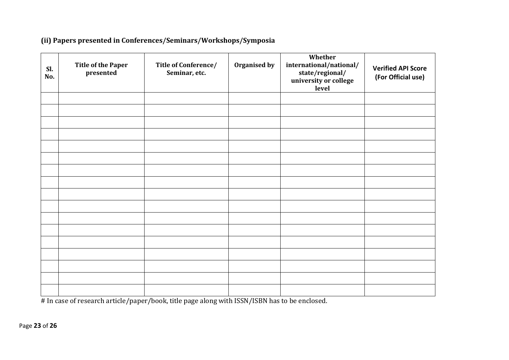### **(ii) Papers presented in Conferences/Seminars/Workshops/Symposia**

| Sl.<br>No. | <b>Title of the Paper</b><br>presented | Title of Conference/<br>Seminar, etc. | Organised by | Whether<br>international/national/<br>state/regional/<br>university or college<br>level | <b>Verified API Score</b><br>(For Official use) |
|------------|----------------------------------------|---------------------------------------|--------------|-----------------------------------------------------------------------------------------|-------------------------------------------------|
|            |                                        |                                       |              |                                                                                         |                                                 |
|            |                                        |                                       |              |                                                                                         |                                                 |
|            |                                        |                                       |              |                                                                                         |                                                 |
|            |                                        |                                       |              |                                                                                         |                                                 |
|            |                                        |                                       |              |                                                                                         |                                                 |
|            |                                        |                                       |              |                                                                                         |                                                 |
|            |                                        |                                       |              |                                                                                         |                                                 |
|            |                                        |                                       |              |                                                                                         |                                                 |
|            |                                        |                                       |              |                                                                                         |                                                 |
|            |                                        |                                       |              |                                                                                         |                                                 |
|            |                                        |                                       |              |                                                                                         |                                                 |
|            |                                        |                                       |              |                                                                                         |                                                 |
|            |                                        |                                       |              |                                                                                         |                                                 |
|            |                                        |                                       |              |                                                                                         |                                                 |
|            |                                        |                                       |              |                                                                                         |                                                 |
|            |                                        |                                       |              |                                                                                         |                                                 |
|            |                                        |                                       |              |                                                                                         |                                                 |

# In case of research article/paper/book, title page along with ISSN/ISBN has to be enclosed.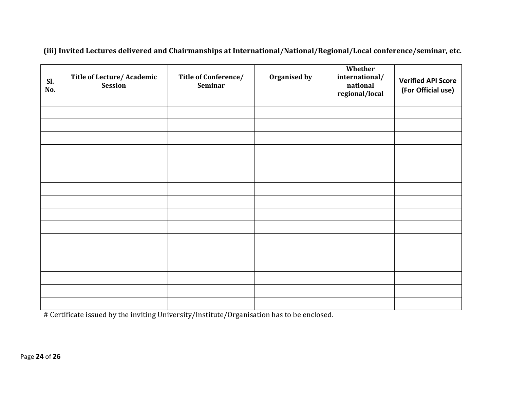| Sl.<br>No. | Title of Lecture/ Academic<br><b>Session</b> | Title of Conference/<br><b>Seminar</b> | Organised by | Whether<br>international/<br>national<br>regional/local | <b>Verified API Score</b><br>(For Official use) |
|------------|----------------------------------------------|----------------------------------------|--------------|---------------------------------------------------------|-------------------------------------------------|
|            |                                              |                                        |              |                                                         |                                                 |
|            |                                              |                                        |              |                                                         |                                                 |
|            |                                              |                                        |              |                                                         |                                                 |
|            |                                              |                                        |              |                                                         |                                                 |
|            |                                              |                                        |              |                                                         |                                                 |
|            |                                              |                                        |              |                                                         |                                                 |
|            |                                              |                                        |              |                                                         |                                                 |
|            |                                              |                                        |              |                                                         |                                                 |
|            |                                              |                                        |              |                                                         |                                                 |
|            |                                              |                                        |              |                                                         |                                                 |
|            |                                              |                                        |              |                                                         |                                                 |
|            |                                              |                                        |              |                                                         |                                                 |
|            |                                              |                                        |              |                                                         |                                                 |
|            |                                              |                                        |              |                                                         |                                                 |
|            |                                              |                                        |              |                                                         |                                                 |
|            |                                              |                                        |              |                                                         |                                                 |

**(iii) Invited Lectures delivered and Chairmanships at International/National/Regional/Local conference/seminar, etc.**

# Certificate issued by the inviting University/Institute/Organisation has to be enclosed.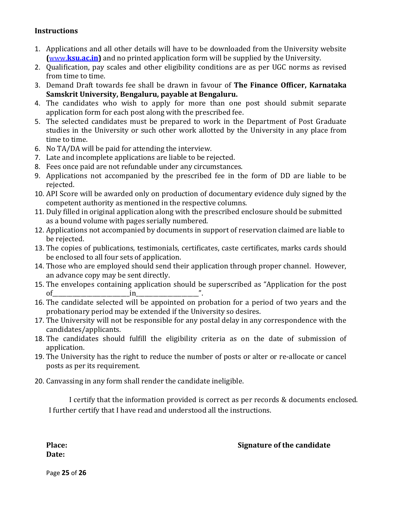#### **Instructions**

- 1. Applications and all other details will have to be downloaded from the University website **(**[www.](http://www./)**ksu.ac.in)** and no printed application form will be supplied by the University.
- 2. Qualification, pay scales and other eligibility conditions are as per UGC norms as revised from time to time.
- 3. Demand Draft towards fee shall be drawn in favour of **The Finance Officer, Karnataka Samskrit University, Bengaluru, payable at Bengaluru.**
- 4. The candidates who wish to apply for more than one post should submit separate application form for each post along with the prescribed fee.
- 5. The selected candidates must be prepared to work in the Department of Post Graduate studies in the University or such other work allotted by the University in any place from time to time.
- 6. No TA/DA will be paid for attending the interview.
- 7. Late and incomplete applications are liable to be rejected.
- 8. Fees once paid are not refundable under any circumstances.
- 9. Applications not accompanied by the prescribed fee in the form of DD are liable to be rejected.
- 10. API Score will be awarded only on production of documentary evidence duly signed by the competent authority as mentioned in the respective columns.
- 11. Duly filled in original application along with the prescribed enclosure should be submitted as a bound volume with pages serially numbered.
- 12. Applications not accompanied by documents in support of reservation claimed are liable to be rejected.
- 13. The copies of publications, testimonials, certificates, caste certificates, marks cards should be enclosed to all four sets of application.
- 14. Those who are employed should send their application through proper channel. However, an advance copy may be sent directly.
- 15. The envelopes containing application should be superscribed as "Application for the post of\_\_\_\_\_\_\_\_\_\_\_\_\_\_\_\_\_\_\_\_\_\_\_\_\_\_\_in\_\_\_\_\_\_\_\_\_\_\_\_\_\_\_\_\_\_\_\_\_\_".
- 16. The candidate selected will be appointed on probation for a period of two years and the probationary period may be extended if the University so desires.
- 17. The University will not be responsible for any postal delay in any correspondence with the candidates/applicants.
- 18. The candidates should fulfill the eligibility criteria as on the date of submission of application.
- 19. The University has the right to reduce the number of posts or alter or re-allocate or cancel posts as per its requirement.
- 20. Canvassing in any form shall render the candidate ineligible.

I certify that the information provided is correct as per records & documents enclosed. I further certify that I have read and understood all the instructions.